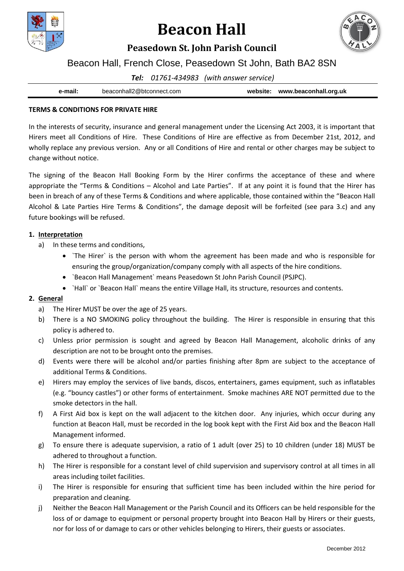

# **Beacon Hall**



## **Peasedown St. John Parish Council**

## Beacon Hall, French Close, Peasedown St John, Bath BA2 8SN

*Tel: 01761-434983 (with answer service)*

| e-mail: | beaconhall2@btconnect.com | website: | www.beaconhall.org.uk |
|---------|---------------------------|----------|-----------------------|
|         |                           |          |                       |

#### **TERMS & CONDITIONS FOR PRIVATE HIRE**

In the interests of security, insurance and general management under the Licensing Act 2003, it is important that Hirers meet all Conditions of Hire. These Conditions of Hire are effective as from December 21st, 2012, and wholly replace any previous version. Any or all Conditions of Hire and rental or other charges may be subject to change without notice.

The signing of the Beacon Hall Booking Form by the Hirer confirms the acceptance of these and where appropriate the "Terms & Conditions – Alcohol and Late Parties". If at any point it is found that the Hirer has been in breach of any of these Terms & Conditions and where applicable, those contained within the "Beacon Hall Alcohol & Late Parties Hire Terms & Conditions", the damage deposit will be forfeited (see para 3.c) and any future bookings will be refused.

#### **1. Interpretation**

- a) In these terms and conditions,
	- `The Hirer` is the person with whom the agreement has been made and who is responsible for ensuring the group/organization/company comply with all aspects of the hire conditions.
	- `Beacon Hall Management` means Peasedown St John Parish Council (PSJPC).
	- `Hall` or `Beacon Hall` means the entire Village Hall, its structure, resources and contents.

#### **2. General**

- a) The Hirer MUST be over the age of 25 years.
- b) There is a NO SMOKING policy throughout the building. The Hirer is responsible in ensuring that this policy is adhered to.
- c) Unless prior permission is sought and agreed by Beacon Hall Management, alcoholic drinks of any description are not to be brought onto the premises.
- d) Events were there will be alcohol and/or parties finishing after 8pm are subject to the acceptance of additional Terms & Conditions.
- e) Hirers may employ the services of live bands, discos, entertainers, games equipment, such as inflatables (e.g. "bouncy castles") or other forms of entertainment. Smoke machines ARE NOT permitted due to the smoke detectors in the hall.
- f) A First Aid box is kept on the wall adjacent to the kitchen door. Any injuries, which occur during any function at Beacon Hall, must be recorded in the log book kept with the First Aid box and the Beacon Hall Management informed.
- g) To ensure there is adequate supervision, a ratio of 1 adult (over 25) to 10 children (under 18) MUST be adhered to throughout a function.
- h) The Hirer is responsible for a constant level of child supervision and supervisory control at all times in all areas including toilet facilities.
- i) The Hirer is responsible for ensuring that sufficient time has been included within the hire period for preparation and cleaning.
- j) Neither the Beacon Hall Management or the Parish Council and its Officers can be held responsible for the loss of or damage to equipment or personal property brought into Beacon Hall by Hirers or their guests, nor for loss of or damage to cars or other vehicles belonging to Hirers, their guests or associates.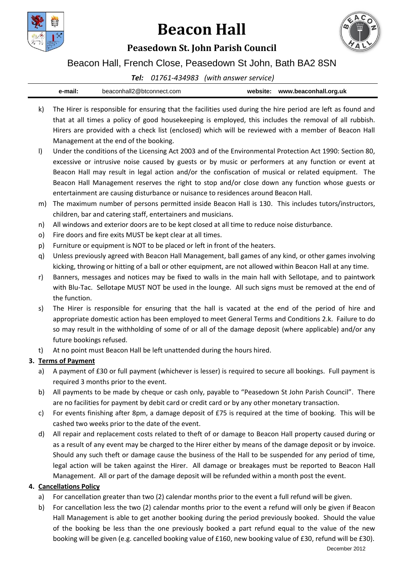

# **Beacon Hall**



## **Peasedown St. John Parish Council**

Beacon Hall, French Close, Peasedown St John, Bath BA2 8SN

### *Tel: 01761-434983 (with answer service)*

| ⊦mail: | beaconhall2@btconnect.com | website: | www.beaconhall.org.uk |
|--------|---------------------------|----------|-----------------------|
|        |                           |          |                       |

- k) The Hirer is responsible for ensuring that the facilities used during the hire period are left as found and that at all times a policy of good housekeeping is employed, this includes the removal of all rubbish. Hirers are provided with a check list (enclosed) which will be reviewed with a member of Beacon Hall Management at the end of the booking.
- l) Under the conditions of the Licensing Act 2003 and of the Environmental Protection Act 1990: Section 80, excessive or intrusive noise caused by guests or by music or performers at any function or event at Beacon Hall may result in legal action and/or the confiscation of musical or related equipment. The Beacon Hall Management reserves the right to stop and/or close down any function whose guests or entertainment are causing disturbance or nuisance to residences around Beacon Hall.
- m) The maximum number of persons permitted inside Beacon Hall is 130. This includes tutors/instructors, children, bar and catering staff, entertainers and musicians.
- n) All windows and exterior doors are to be kept closed at all time to reduce noise disturbance.
- o) Fire doors and fire exits MUST be kept clear at all times.
- p) Furniture or equipment is NOT to be placed or left in front of the heaters.
- q) Unless previously agreed with Beacon Hall Management, ball games of any kind, or other games involving kicking, throwing or hitting of a ball or other equipment, are not allowed within Beacon Hall at any time.
- r) Banners, messages and notices may be fixed to walls in the main hall with Sellotape, and to paintwork with Blu-Tac. Sellotape MUST NOT be used in the lounge. All such signs must be removed at the end of the function.
- s) The Hirer is responsible for ensuring that the hall is vacated at the end of the period of hire and appropriate domestic action has been employed to meet General Terms and Conditions 2.k. Failure to do so may result in the withholding of some of or all of the damage deposit (where applicable) and/or any future bookings refused.
- t) At no point must Beacon Hall be left unattended during the hours hired.

## **3. Terms of Payment**

- a) A payment of £30 or full payment (whichever is lesser) is required to secure all bookings. Full payment is required 3 months prior to the event.
- b) All payments to be made by cheque or cash only, payable to "Peasedown St John Parish Council". There are no facilities for payment by debit card or credit card or by any other monetary transaction.
- c) For events finishing after 8pm, a damage deposit of  $E75$  is required at the time of booking. This will be cashed two weeks prior to the date of the event.
- d) All repair and replacement costs related to theft of or damage to Beacon Hall property caused during or as a result of any event may be charged to the Hirer either by means of the damage deposit or by invoice. Should any such theft or damage cause the business of the Hall to be suspended for any period of time, legal action will be taken against the Hirer. All damage or breakages must be reported to Beacon Hall Management. All or part of the damage deposit will be refunded within a month post the event.

### **4. Cancellations Policy**

- a) For cancellation greater than two (2) calendar months prior to the event a full refund will be given.
- b) For cancellation less the two (2) calendar months prior to the event a refund will only be given if Beacon Hall Management is able to get another booking during the period previously booked. Should the value of the booking be less than the one previously booked a part refund equal to the value of the new booking will be given (e.g. cancelled booking value of £160, new booking value of £30, refund will be £30).